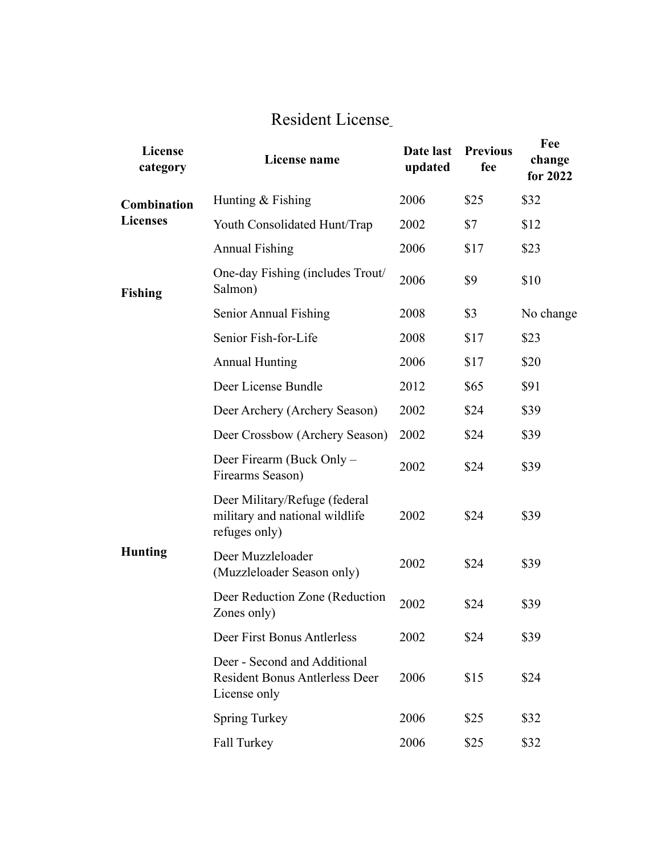## [Resident License](https://www.in.gov/dnr/fish-and-wildlife/licenses-and-permits/fee-changes/#null)

| License<br>category            | License name                                                                          | Date last<br>updated | <b>Previous</b><br>fee | Fee<br>change<br>for 2022 |
|--------------------------------|---------------------------------------------------------------------------------------|----------------------|------------------------|---------------------------|
| Combination<br><b>Licenses</b> | Hunting & Fishing                                                                     | 2006                 | \$25                   | \$32                      |
|                                | Youth Consolidated Hunt/Trap                                                          | 2002                 | \$7                    | \$12                      |
|                                | <b>Annual Fishing</b>                                                                 | 2006                 | \$17                   | \$23                      |
| <b>Fishing</b>                 | One-day Fishing (includes Trout/<br>Salmon)                                           | 2006                 | \$9                    | \$10                      |
|                                | Senior Annual Fishing                                                                 | 2008                 | \$3                    | No change                 |
|                                | Senior Fish-for-Life                                                                  | 2008                 | \$17                   | \$23                      |
|                                | <b>Annual Hunting</b>                                                                 | 2006                 | \$17                   | \$20                      |
|                                | Deer License Bundle                                                                   | 2012                 | \$65                   | \$91                      |
|                                | Deer Archery (Archery Season)                                                         | 2002                 | \$24                   | \$39                      |
|                                | Deer Crossbow (Archery Season)                                                        | 2002                 | \$24                   | \$39                      |
| <b>Hunting</b>                 | Deer Firearm (Buck Only -<br>Firearms Season)                                         | 2002                 | \$24                   | \$39                      |
|                                | Deer Military/Refuge (federal<br>military and national wildlife<br>refuges only)      | 2002                 | \$24                   | \$39                      |
|                                | Deer Muzzleloader<br>(Muzzleloader Season only)                                       | 2002                 | \$24                   | \$39                      |
|                                | Deer Reduction Zone (Reduction<br>Zones only)                                         | 2002                 | \$24                   | \$39                      |
|                                | Deer First Bonus Antlerless                                                           | 2002                 | \$24                   | \$39                      |
|                                | Deer - Second and Additional<br><b>Resident Bonus Antlerless Deer</b><br>License only | 2006                 | \$15                   | \$24                      |
|                                | <b>Spring Turkey</b>                                                                  | 2006                 | \$25                   | \$32                      |
|                                | Fall Turkey                                                                           | 2006                 | \$25                   | \$32                      |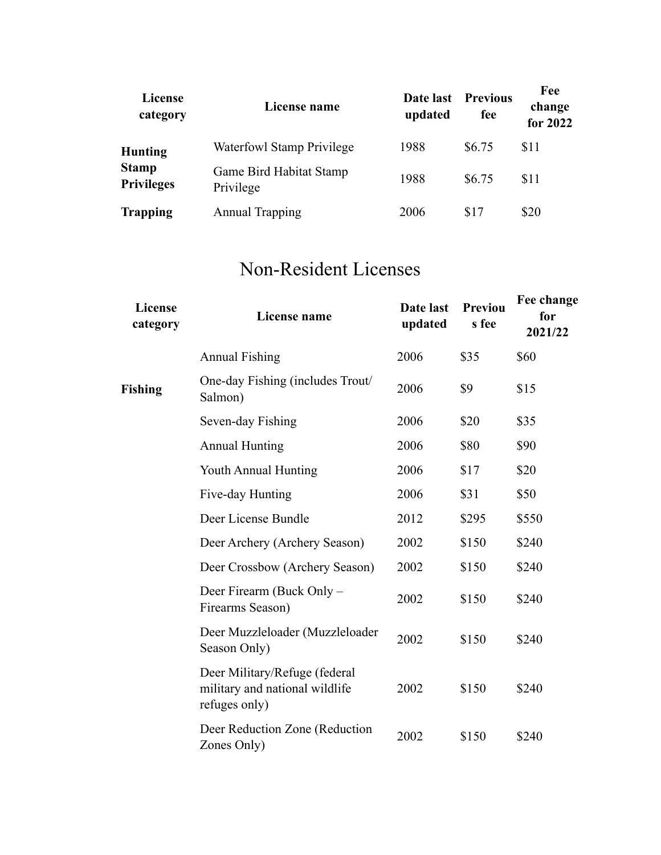| <b>License</b><br>category        | License name                         | Date last<br>updated | <b>Previous</b><br>fee | Fee<br>change<br>for 2022 |
|-----------------------------------|--------------------------------------|----------------------|------------------------|---------------------------|
| <b>Hunting</b>                    | Waterfowl Stamp Privilege            | 1988                 | \$6.75                 | \$11                      |
| <b>Stamp</b><br><b>Privileges</b> | Game Bird Habitat Stamp<br>Privilege | 1988                 | \$6.75                 | \$11                      |
| <b>Trapping</b>                   | <b>Annual Trapping</b>               | 2006                 | \$17                   | \$20                      |

## [Non-Resident Licenses](https://www.in.gov/dnr/fish-and-wildlife/licenses-and-permits/fee-changes/#null)

| License<br>category | License name                                                                     | Date last<br>updated | Previou<br>s fee | Fee change<br>for<br>2021/22 |
|---------------------|----------------------------------------------------------------------------------|----------------------|------------------|------------------------------|
|                     | <b>Annual Fishing</b>                                                            | 2006                 | \$35             | \$60                         |
| <b>Fishing</b>      | One-day Fishing (includes Trout/<br>Salmon)                                      | 2006                 | \$9              | \$15                         |
|                     | Seven-day Fishing                                                                | 2006                 | \$20             | \$35                         |
|                     | <b>Annual Hunting</b>                                                            | 2006                 | \$80             | \$90                         |
|                     | Youth Annual Hunting                                                             | 2006                 | \$17             | \$20                         |
|                     | Five-day Hunting                                                                 | 2006                 | \$31             | \$50                         |
|                     | Deer License Bundle                                                              | 2012                 | \$295            | \$550                        |
|                     | Deer Archery (Archery Season)                                                    | 2002                 | \$150            | \$240                        |
|                     | Deer Crossbow (Archery Season)                                                   | 2002                 | \$150            | \$240                        |
|                     | Deer Firearm (Buck Only –<br>Firearms Season)                                    | 2002                 | \$150            | \$240                        |
|                     | Deer Muzzleloader (Muzzleloader<br>Season Only)                                  | 2002                 | \$150            | \$240                        |
|                     | Deer Military/Refuge (federal<br>military and national wildlife<br>refuges only) | 2002                 | \$150            | \$240                        |
|                     | Deer Reduction Zone (Reduction<br>Zones Only)                                    | 2002                 | \$150            | \$240                        |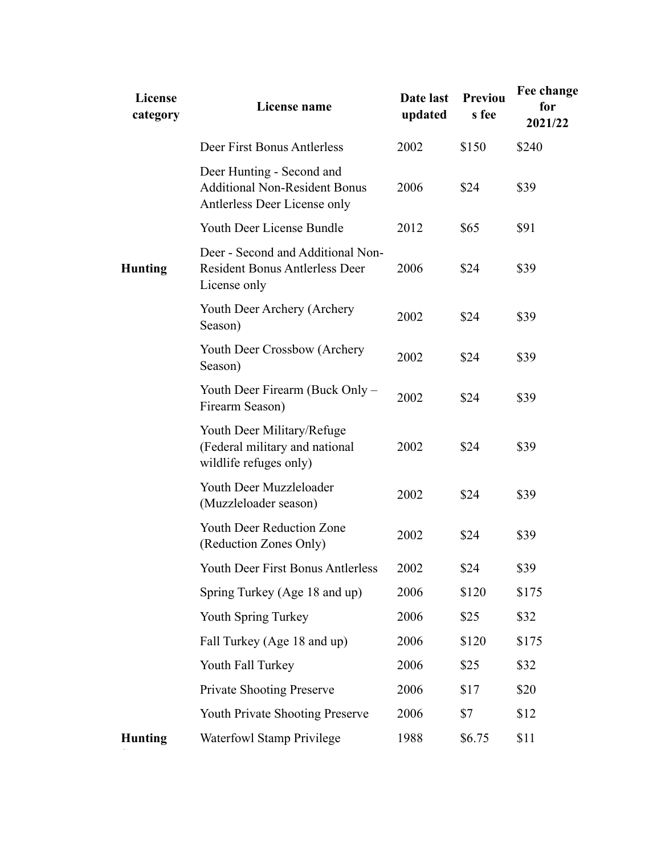| <b>License</b><br>category | License name                                                                                      | Date last<br>updated | <b>Previou</b><br>s fee | Fee change<br>for<br>2021/22 |
|----------------------------|---------------------------------------------------------------------------------------------------|----------------------|-------------------------|------------------------------|
|                            | Deer First Bonus Antlerless                                                                       | 2002                 | \$150                   | \$240                        |
|                            | Deer Hunting - Second and<br><b>Additional Non-Resident Bonus</b><br>Antlerless Deer License only | 2006                 | \$24                    | \$39                         |
|                            | Youth Deer License Bundle                                                                         | 2012                 | \$65                    | \$91                         |
| <b>Hunting</b>             | Deer - Second and Additional Non-<br><b>Resident Bonus Antlerless Deer</b><br>License only        | 2006                 | \$24                    | \$39                         |
|                            | Youth Deer Archery (Archery<br>Season)                                                            | 2002                 | \$24                    | \$39                         |
|                            | Youth Deer Crossbow (Archery<br>Season)                                                           | 2002                 | \$24                    | \$39                         |
|                            | Youth Deer Firearm (Buck Only –<br>Firearm Season)                                                | 2002                 | \$24                    | \$39                         |
|                            | Youth Deer Military/Refuge<br>(Federal military and national<br>wildlife refuges only)            | 2002                 | \$24                    | \$39                         |
|                            | Youth Deer Muzzleloader<br>(Muzzleloader season)                                                  | 2002                 | \$24                    | \$39                         |
|                            | <b>Youth Deer Reduction Zone</b><br>(Reduction Zones Only)                                        | 2002                 | \$24                    | \$39                         |
|                            | Youth Deer First Bonus Antlerless                                                                 | 2002                 | \$24                    | \$39                         |
|                            | Spring Turkey (Age 18 and up)                                                                     | 2006                 | \$120                   | \$175                        |
|                            | Youth Spring Turkey                                                                               | 2006                 | \$25                    | \$32                         |
|                            | Fall Turkey (Age 18 and up)                                                                       | 2006                 | \$120                   | \$175                        |
|                            | Youth Fall Turkey                                                                                 | 2006                 | \$25                    | \$32                         |
|                            | <b>Private Shooting Preserve</b>                                                                  | 2006                 | \$17                    | \$20                         |
|                            | <b>Youth Private Shooting Preserve</b>                                                            | 2006                 | \$7                     | \$12                         |
| <b>Hunting</b>             | <b>Waterfowl Stamp Privilege</b>                                                                  | 1988                 | \$6.75                  | \$11                         |